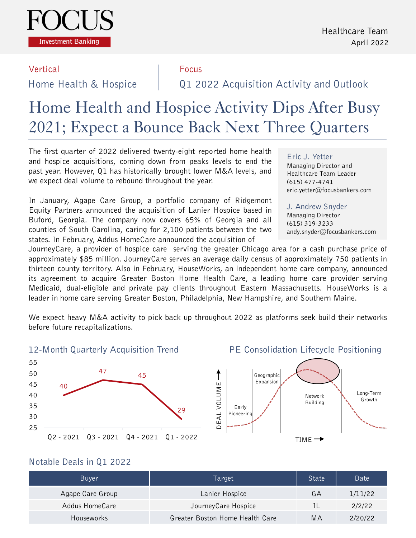

#### Vertical **Focus**

Home Health & Hospice Q1 2022 Acquisition Activity and Outlook

# Home Health and Hospice Activity Dips After Busy 2021; Expect a Bounce Back Next Three Quarters

The first quarter of 2022 delivered twenty-eight reported home health and hospice acquisitions, coming down from peaks levels to end the past year. However, Q1 has historically brought lower M&A levels, and we expect deal volume to rebound throughout the year.

In January, Agape Care Group, a portfolio company of Ridgemont Equity Partners announced the acquisition of Lanier Hospice based in Buford, Georgia. The company now covers 65% of Georgia and all counties of South Carolina, caring for 2,100 patients between the two states. In February, Addus HomeCare announced the acquisition of

# Eric J. Yetter

Managing Director and Healthcare Team Leader (615) 477-4741 eric.yetter@focusbankers.com

J. Andrew Snyder Managing Director (615) 319-3233 andy.snyder@focusbankers.com

JourneyCare, a provider of hospice care serving the greater Chicago area for a cash purchase price of approximately \$85 million. JourneyCare serves an average daily census of approximately 750 patients in thirteen county territory. Also in February, HouseWorks, an independent home care company, announced its agreement to acquire Greater Boston Home Health Care, a leading home care provider serving Medicaid, dual-eligible and private pay clients throughout Eastern Massachusetts. HouseWorks is a leader in home care serving Greater Boston, Philadelphia, New Hampshire, and Southern Maine.

We expect heavy M&A activity to pick back up throughout 2022 as platforms seek build their networks before future recapitalizations.

#### 12-Month Quarterly Acquisition Trend



#### PE Consolidation Lifecycle Positioning



#### Notable Deals in Q1 2022

| Buyer             | Target                          | State | Date    |
|-------------------|---------------------------------|-------|---------|
| Agape Care Group  | Lanier Hospice                  | GА    | 1/11/22 |
| Addus HomeCare    | JourneyCare Hospice             |       | 2/2/22  |
| <b>Houseworks</b> | Greater Boston Home Health Care | MА    | 2/20/22 |